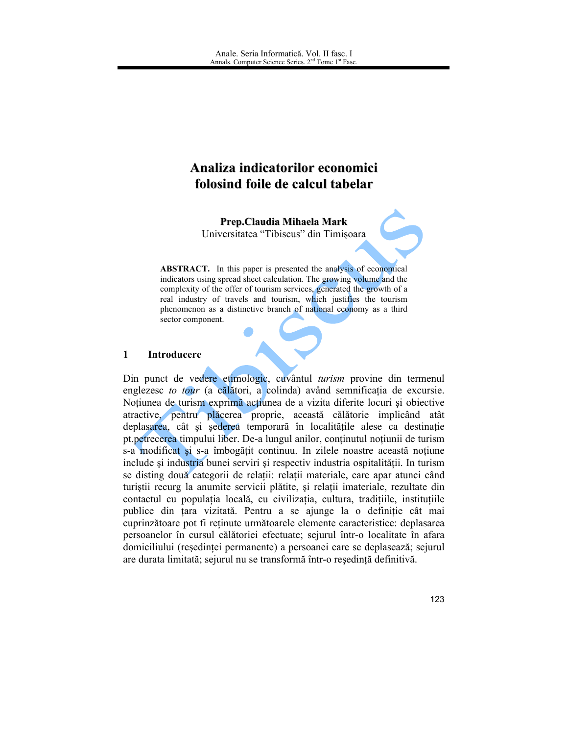# Analiza indicatorilor economici folosind foile de calcul tabelar

Prep.Claudia Mihaela Mark Universitatea "Tibiscus" din Timișoara

**ABSTRACT.** In this paper is presented the analysis of economical indicators using spread sheet calculation. The growing volume and the complexity of the offer of tourism services, generated the growth of a real industry of travels and tourism, which justifies the tourism phenomenon as a distinctive branch of national economy as a third sector component.

#### $\mathbf{1}$ **Introducere**

Din punct de vedere etimologic, cuvântul *turism* provine din termenul englezesc to tour (a călători, a colinda) având semnificația de excursie. Noțiunea de turism exprimă acțiunea de a vizita diferite locuri și obiective atractive, pentru plăcerea proprie, această călătorie implicând atât deplasarea, cât și șederea temporară în localitățile alese ca destinație pt. petrecerea timpului liber. De-a lungul anilor, continutul noțiunii de turism s-a modificat și s-a îmbogătit continuu. In zilele noastre această notiune include și industria bunei serviri și respectiv industria ospitalității. In turism se disting două categorii de relații: relații materiale, care apar atunci când turistii recurg la anumite servicii plătite, și relatii imateriale, rezultate din contactul cu populația locală, cu civilizația, cultura, tradițiile, instituțiile publice din tara vizitată. Pentru a se ajunge la o definiție cât mai cuprinzătoare pot fi retinute următoarele elemente caracteristice: deplasarea persoanelor în cursul călătoriei efectuate; sejurul într-o localitate în afara domiciliului (resedinței permanente) a persoanei care se deplasează; sejurul are durata limitată; sejurul nu se transformă într-o resedintă definitivă.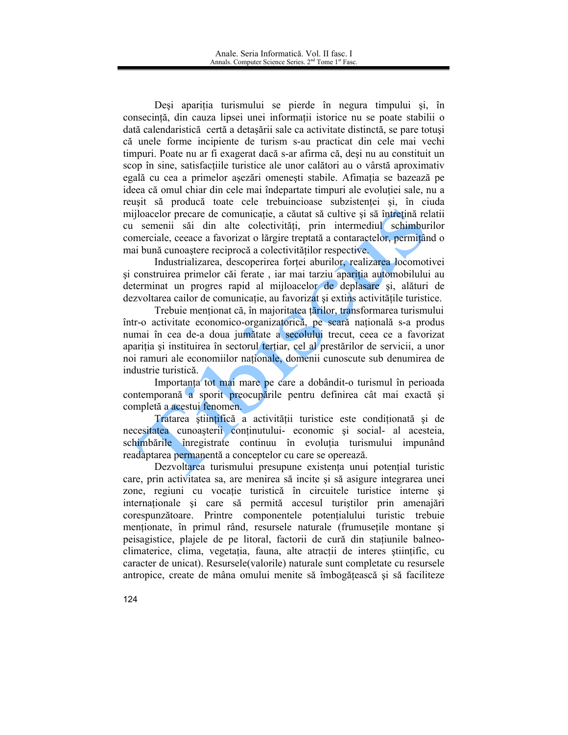Deși apariția turismului se pierde în negura timpului și, în consecință, din cauza lipsei unei informații istorice nu se poate stabilii o dată calendaristică certă a detasării sale ca activitate distinctă, se pare totusi că unele forme incipiente de turism s-au practicat din cele mai vechi timpuri. Poate nu ar fi exagerat dacă s-ar afirma că, deși nu au constituit un scop în sine, satisfacțiile turistice ale unor calători au o vârstă aproximativ egală cu cea a primelor așezări omenești stabile. Afimația se bazează pe ideea că omul chiar din cele mai îndepartate timpuri ale evolutiei sale, nu a reusit să producă toate cele trebuincioase subzistenței și, în ciuda mijloacelor precare de comunicație, a căutat să cultive și să întrețină relatii cu semenii săi din alte colectivități, prin intermediul schimburilor comerciale, ceeace a favorizat o lărgire treptată a contaractelor, permițând o mai bună cunoaștere reciprocă a colectivităților respective.

Industrializarea, descoperirea fortei aburilor, realizarea locomotivei și construirea primelor căi ferate, iar mai tarziu apariția automobilului au determinat un progres rapid al mijloacelor de deplasare și, alături de dezvoltarea cailor de comunicație, au favorizat și extins activitățile turistice.

Trebuie menționat că, în majoritatea țărilor, transformarea turismului într-o activitate economico-organizatorică, pe scară națională s-a produs numai în cea de-a doua jumătate a secolului trecut, ceea ce a favorizat apariția și instituirea în sectorul terțiar, cel al prestărilor de servicii, a unor noi ramuri ale economiilor nationale, domenii cunoscute sub denumirea de industrie turistică.

Importanta tot mai mare pe care a dobândit-o turismul în perioada contemporană a sporit preocupările pentru definirea cât mai exactă și completă a acestui fenomen.

Tratarea științifică a activității turistice este condiționată și de necesitatea cunoașterii conținutului- economic și social- al acesteia, schimbările înregistrate continuu în evoluția turismului impunând readaptarea permanentă a conceptelor cu care se operează.

Dezvoltarea turismului presupune existența unui potențial turistic care, prin activitatea sa, are menirea să incite și să asigure integrarea unei zone, regiuni cu vocație turistică în circuitele turistice interne și internaționale și care să permită accesul turiștilor prin amenajări corespunzătoare. Printre componentele potențialului turistic trebuie mentionate, în primul rând, resursele naturale (frumusetile montane și peisagistice, plajele de pe litoral, factorii de cură din stațiunile balneoclimaterice, clima, vegetația, fauna, alte atracții de interes stiințific, cu caracter de unicat). Resursele(valorile) naturale sunt completate cu resursele antropice, create de mâna omului menite să îmbogătească și să faciliteze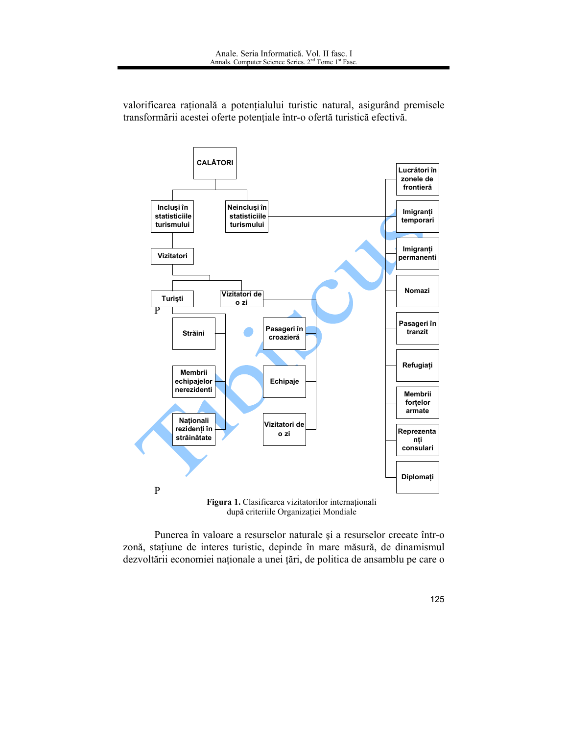

valorificarea rațională a potențialului turistic natural, asigurând premisele transformării acestei oferte potențiale într-o ofertă turistică efectivă.

Punerea în valoare a resurselor naturale și a resurselor creeate într-o zonă, stațiune de interes turistic, depinde în mare măsură, de dinamismul dezvoltării economiei naționale a unei țări, de politica de ansamblu pe care o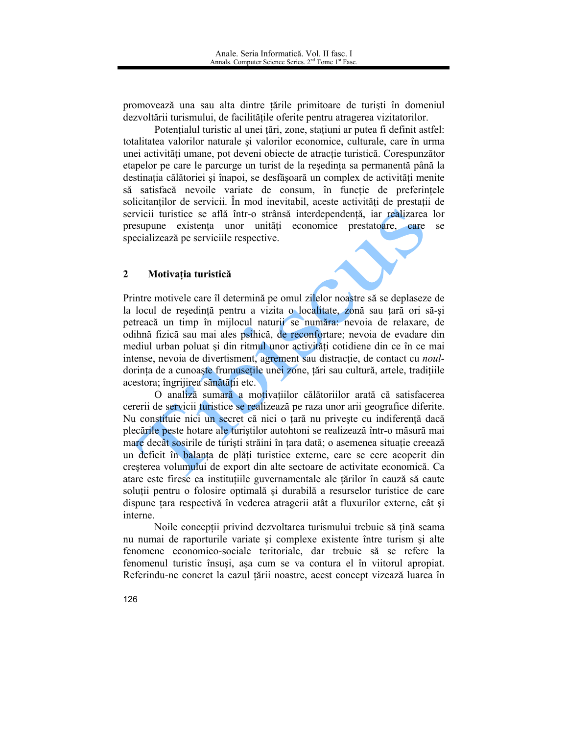promovează una sau alta dintre țările primitoare de turiști în domeniul dezvoltării turismului, de facilitățile oferite pentru atragerea vizitatorilor.

Potențialul turistic al unei țări, zone, stațiuni ar putea fi definit astfel: totalitatea valorilor naturale și valorilor economice, culturale, care în urma unei activități umane, pot deveni obiecte de atracție turistică. Corespunzător etapelor pe care le parcurge un turist de la resedinta sa permanentă până la destinația călătoriei și înapoi, se desfășoară un complex de activități menite să satisfaçă nevoile variate de consum, în functie de preferintele solicitantilor de servicii. În mod inevitabil, aceste activități de prestații de servicii turistice se află într-o strânsă interdependență, iar realizarea lor presupune existenta unor unităti economice prestatoare, care se specializează pe serviciile respective.

### $\overline{2}$ Motivația turistică

Printre motivele care îl determină pe omul zilelor noastre să se deplaseze de la locul de reședință pentru a vizita o localitate, zonă sau țară ori să-și petreaçă un timp în mijlocul naturii se număra: nevoia de relaxare, de odihnă fizică sau mai ales psihică, de reconfortare; nevoia de evadare din mediul urban poluat și din ritmul unor activități cotidiene din ce în ce mai intense, nevoia de divertisment, agrement sau distractie, de contact cu nouldorința de a cunoaște frumusețile unei zone, țări sau cultură, artele, tradițiile acestora; îngrijirea sănătății etc.

O analiză sumară a motivatiilor călătoriilor arată că satisfacerea cererii de servicii turistice se realizează pe raza unor arii geografice diferite. Nu constituie nici un secret că nici o țară nu privește cu indiferență dacă plecările peste hotare ale turiștilor autohtoni se realizează într-o măsură mai mare decât sosirile de turiști străini în țara dată; o asemenea situație creează un deficit în balanța de plăți turistice externe, care se cere acoperit din creșterea volumului de export din alte sectoare de activitate economică. Ca atare este firesc ca instituțiile guvernamentale ale țărilor în cauză să caute soluții pentru o folosire optimală și durabilă a resurselor turistice de care dispune țara respectivă în vederea atragerii atât a fluxurilor externe, cât și interne.

Noile conceptii privind dezvoltarea turismului trebuie să țină seama nu numai de raporturile variate si complexe existente între turism si alte fenomene economico-sociale teritoriale, dar trebuie să se refere la fenomenul turistic însuși, așa cum se va contura el în viitorul apropiat. Referindu-ne concret la cazul tării noastre, acest concept vizează luarea în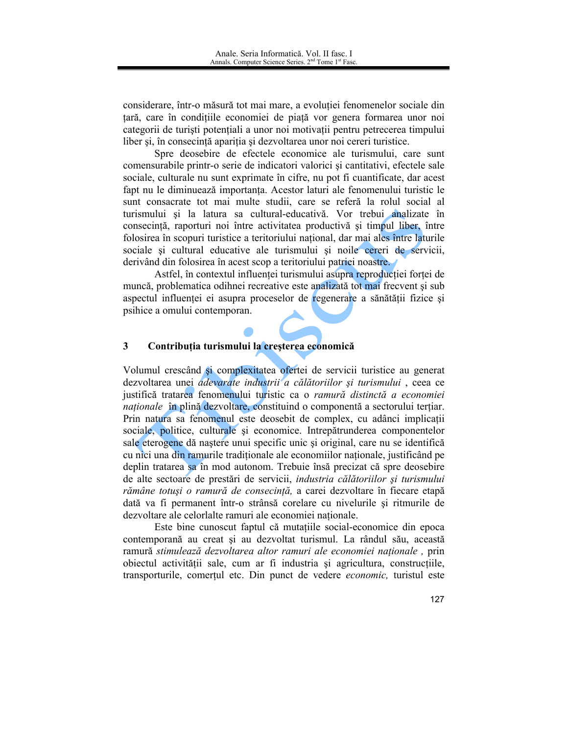considerare, într-o măsură tot mai mare, a evolutiei fenomenelor sociale din țară, care în condițiile economiei de piață vor genera formarea unor noi categorii de turiști potențiali a unor noi motivații pentru petrecerea timpului liber și, în consecință apariția și dezvoltarea unor noi cereri turistice.

Spre deosebire de efectele economice ale turismului, care sunt comensurabile printr-o serie de indicatori valorici și cantitativi, efectele sale sociale, culturale nu sunt exprimate în cifre, nu pot fi cuantificate, dar acest fapt nu le diminuează importanta. Acestor laturi ale fenomenului turistic le sunt consacrate tot mai multe studii, care se referă la rolul social al turismului și la latura sa cultural-educativă. Vor trebui analizate în consecintă, raporturi noi între activitatea productivă și timpul liber, între folosirea în scopuri turistice a teritoriului national, dar mai ales între laturile sociale si cultural educative ale turismului si noile cereri de servicii, derivând din folosirea în acest scop a teritoriului patriei noastre.

Astfel, în contextul influenței turismului asupra reproducției forței de muncă, problematica odihnei recreative este analizată tot mai frecvent și sub aspectul influenței ei asupra proceselor de regenerare a sănătății fizice și psihice a omului contemporan.

#### 3 Contribuția turismului la creșterea economică

Volumul crescând si complexitatea ofertei de servicii turistice au generat dezvoltarea unei *adevarate industrii a călătoriilor și turismului*, ceea ce justifică tratarea fenomenului turistic ca o ramură distinctă a economiei *naționale* în plină dezvoltare, constituind o componentă a sectorului terțiar. Prin natura sa fenomenul este deosebit de complex, cu adânci implicații sociale, politice, culturale si economice. Intrepătrunderea componentelor sale eterogene dă naștere unui specific unic și original, care nu se identifică cu nici una din ramurile traditionale ale economiilor nationale, justificând pe deplin tratarea sa în mod autonom. Trebuie însă precizat că spre deosebire de alte sectoare de prestări de servicii, industria călătoriilor și turismului rămâne totuși o ramură de consecință, a carei dezvoltare în fiecare etapă dată va fi permanent într-o strânsă corelare cu nivelurile și ritmurile de dezvoltare ale celorlalte ramuri ale economiei nationale.

Este bine cunoscut faptul că mutațiile social-economice din epoca contemporană au creat și au dezvoltat turismul. La rândul său, această ramură stimulează dezvoltarea altor ramuri ale economiei naționale, prin obiectul activității sale, cum ar fi industria și agricultura, construcțiile, transporturile, comertul etc. Din punct de vedere economic, turistul este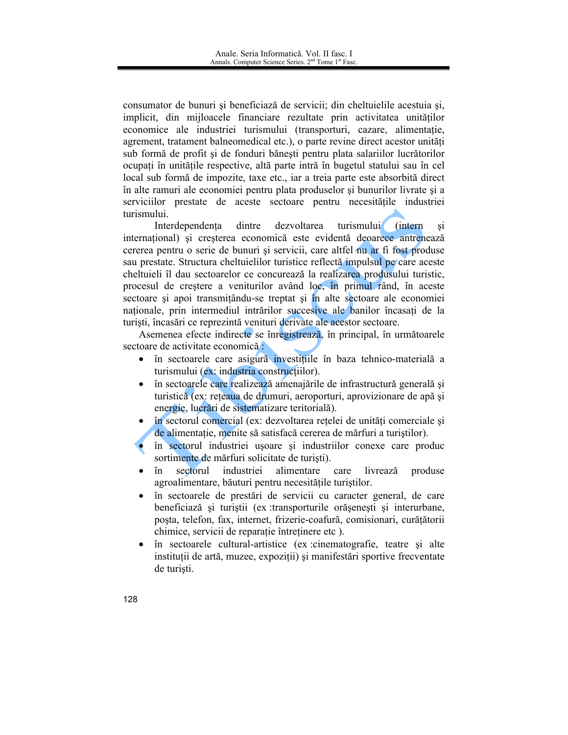consumator de bunuri si beneficiază de servicii; din cheltuielile acestuia si, implicit, din mijloacele financiare rezultate prin activitatea unităților economice ale industriei turismului (transporturi, cazare, alimentație, agrement, tratament balneomedical etc.), o parte revine direct acestor unități sub formă de profit și de fonduri bănești pentru plata salariilor lucrătorilor ocupați în unitățile respective, altă parte intră în bugetul statului sau în cel local sub formă de impozite, taxe etc., iar a treia parte este absorbită direct în alte ramuri ale economiei pentru plata produselor și bunurilor livrate și a serviciilor prestate de aceste sectoare pentru necesitățile industriei turismului

Interdependenta dintre dezvoltarea turismului *(intern)*  $\overline{S1}$ internațional) și creșterea economică este evidentă deoarece antrenează cererea pentru o serie de bunuri și servicii, care altfel nu ar fi fost produse sau prestate. Structura cheltuielilor turistice reflectă impulsul pe care aceste cheltuieli îl dau sectoarelor ce concurează la realizarea produsului turistic, procesul de crestere a veniturilor având loc, în primul rând, în aceste sectoare și apoi transmitându-se treptat și în alte sectoare ale economiei naționale, prin intermediul intrărilor succesive ale banilor încasați de la turiști, încasări ce reprezintă venituri derivate ale acestor sectoare.

Asemenea efecte indirecte se înregistrează, în principal, în următoarele sectoare de activitate economică:

- în sectoarele care asigură investițiile în baza tehnico-materială a  $\bullet$ turismului (ex. industria constructiilor).
- în sectoarele care realizează amenajările de infrastructură generală și  $\bullet$ turistică (ex. rețeaua de drumuri, aeroporturi, aprovizionare de apă și energie, lucrări de sistematizare teritorială).
- în sectorul comercial (ex: dezvoltarea rețelei de unități comerciale și de alimentație, menite să satisfacă cererea de mărfuri a turiștilor).
- în sectorul industriei usoare si industriilor conexe care produc sortimente de mărfuri solicitate de turisti).
- sectorul industriei alimentare în care livrează produse agroalimentare, băuturi pentru necesitătile turistilor.
- în sectoarele de prestări de servicii cu caracter general, de care  $\bullet$ beneficiază și turiștii (ex transporturile orășenești și interurbane, poșta, telefon, fax, internet, frizerie-coafură, comisionari, curățătorii chimice, servicii de reparație întreținere etc...
- în sectoarele cultural-artistice (ex cinematografie, teatre și alte  $\bullet$ instituții de artă, muzee, expoziții) și manifestări sportive frecventate de turisti.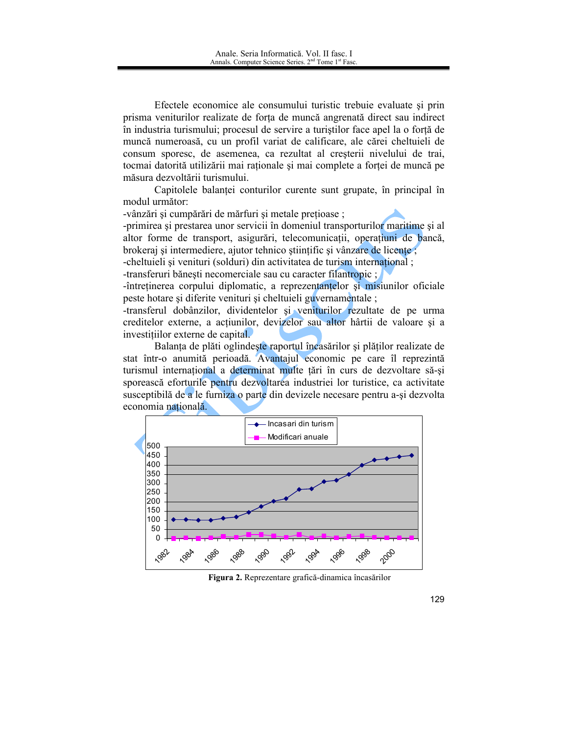Efectele economice ale consumului turistic trebuie evaluate si prin prisma veniturilor realizate de forța de muncă angrenată direct sau indirect în industria turismului; procesul de servire a turistilor face apel la o forță de muncă numeroasă, cu un profil variat de calificare, ale cărei cheltuieli de consum sporesc, de asemenea, ca rezultat al creșterii nivelului de trai, tocmai datorită utilizării mai raționale și mai complete a forței de muncă pe măsura dezvoltării turismului.

Capitolele balantei conturilor curente sunt grupate, în principal în modul următor:

-vânzări și cumpărări de mărfuri și metale prețioase;

-primirea și prestarea unor servicii în domeniul transporturilor maritime și al altor forme de transport, asigurări, telecomunicații, operațiuni de bancă, brokeraj și intermediere, ajutor tehnico științific și vânzare de licențe,

-cheltuieli și venituri (solduri) din activitatea de turism international :

-transferuri bănești necomerciale sau cu caracter filantropic;

-întretinerea corpului diplomatic, a reprezentantelor și misiunilor oficiale peste hotare și diferite venituri și cheltuieli guvernamentale;

-transferul dobânzilor, dividentelor și veniturilor rezultate de pe urma creditelor externe, a actiunilor, devizelor sau altor hârtii de valoare și a investitiilor externe de capital.

Balanța de plăti oglindește raportul încasărilor și plăților realizate de stat într-o anumită perioadă. Avantajul economic pe care îl reprezintă turismul international a determinat multe tări în curs de dezvoltare să-și sporească eforturile pentru dezvoltarea industriei lor turistice, ca activitate susceptibilă de a le furniza o parte din devizele necesare pentru a-și dezvolta economia natională.



Figura 2. Reprezentare grafică-dinamica încasărilor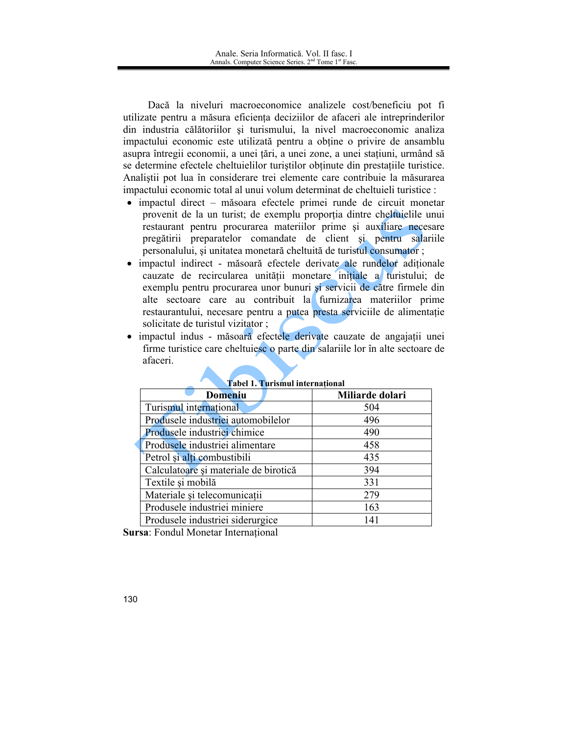Dacă la niveluri macroeconomice analizele cost/beneficiu pot fi utilizate pentru a măsura eficiența deciziilor de afaceri ale intreprinderilor din industria călătoriilor și turismului, la nivel macroeconomic analiza impactului economic este utilizată pentru a obține o privire de ansamblu asupra întregii economii, a unei țări, a unei zone, a unei stațiuni, urmând să se determine efectele cheltuielilor turistilor obtinute din prestatiile turistice. Analistii pot lua în considerare trei elemente care contribuie la măsurarea impactului economic total al unui volum determinat de cheltuieli turistice :

- · impactul direct măsoara efectele primei runde de circuit monetar provenit de la un turist; de exemplu proporția dintre cheltuielile unui restaurant pentru procurarea materiilor prime și auxiliare necesare pregătirii preparatelor comandate de client și pentru salariile personalului, și unitatea monetară cheltuită de turistul consumator;
- impactul indirect măsoară efectele derivate ale rundelor aditionale  $\bullet$ cauzate de recircularea unității monetare inițiale a turistului; de exemplu pentru procurarea unor bunuri si servicii de către firmele din alte sectoare care au contribuit la furnizarea materiilor prime restaurantului, necesare pentru a putea presta serviciile de alimentație solicitate de turistul vizitator;
- · impactul indus măsoară efectele derivate cauzate de angajații unei firme turistice care cheltuiesc o parte din salariile lor în alte sectoare de afaceri

| Tabel 1. Tulisinul international      |                 |  |  |  |  |  |
|---------------------------------------|-----------------|--|--|--|--|--|
| <b>Domeniu</b>                        | Miliarde dolari |  |  |  |  |  |
| Turismul international                | 504             |  |  |  |  |  |
| Produsele industriei automobilelor    | 496             |  |  |  |  |  |
| Produsele industriei chimice          | 490             |  |  |  |  |  |
| Produsele industriei alimentare       | 458             |  |  |  |  |  |
| Petrol și alți combustibili           | 435             |  |  |  |  |  |
| Calculatoare și materiale de birotică | 394             |  |  |  |  |  |
| Textile și mobilă                     | 331             |  |  |  |  |  |
| Materiale și telecomunicații          | 279             |  |  |  |  |  |
| Produsele industriei miniere          | 163             |  |  |  |  |  |
| Produsele industriei siderurgice      | 141             |  |  |  |  |  |

Tobel 1 Turismul international

**Sursa: Fondul Monetar International**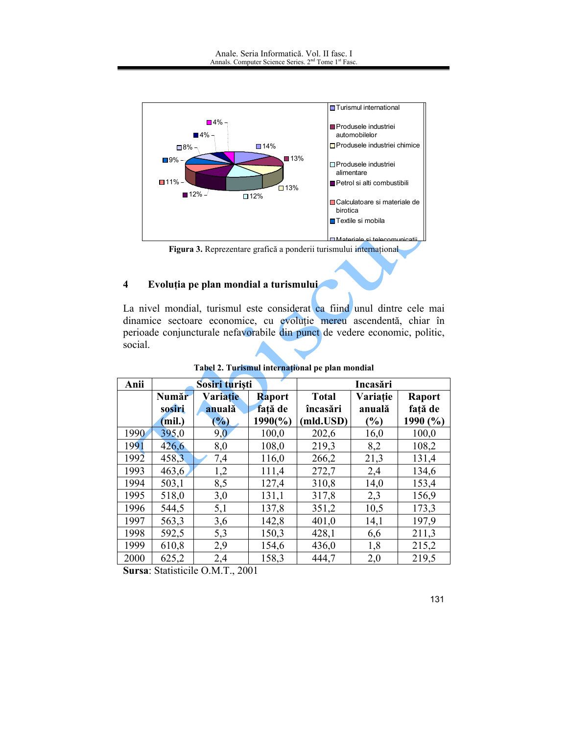

Figura 3. Reprezentare grafică a ponderii turismului internațional

#### $\overline{\mathbf{4}}$ Evoluția pe plan mondial a turismului

La nivel mondial, turismul este considerat ca fiind unul dintre cele mai dinamice sectoare economice, cu evoluție mereu ascendentă, chiar în perioade conjuncturale nefavorabile din punct de vedere economic, politic, social.

| Anii | Sosiri turisti |                 |                    | Incasări     |               |              |
|------|----------------|-----------------|--------------------|--------------|---------------|--------------|
|      | Număr          | <b>Variatie</b> | Raport             | <b>Total</b> | Variație      | Raport       |
|      | sosiri         | anuală          | față de            | încasări     | anuală        | față de      |
|      | (mil.)         | $(\%)$          | $1990\binom{0}{0}$ | (mld.USD)    | $\frac{9}{6}$ | 1990 $(\% )$ |
| 1990 | 395,0          | 9,0             | 100,0              | 202,6        | 16,0          | 100,0        |
| 1991 | 426,6          | 8,0             | 108,0              | 219,3        | 8,2           | 108,2        |
| 1992 | 458,3          | 7,4             | 116,0              | 266,2        | 21,3          | 131,4        |
| 1993 | 463,6          | 1,2             | 111,4              | 272,7        | 2,4           | 134,6        |
| 1994 | 503,1          | 8,5             | 127,4              | 310,8        | 14,0          | 153,4        |
| 1995 | 518,0          | 3,0             | 131,1              | 317,8        | 2,3           | 156,9        |
| 1996 | 544,5          | 5,1             | 137,8              | 351,2        | 10,5          | 173,3        |
| 1997 | 563,3          | 3,6             | 142,8              | 401,0        | 14,1          | 197,9        |
| 1998 | 592,5          | 5,3             | 150,3              | 428,1        | 6,6           | 211,3        |
| 1999 | 610,8          | 2,9             | 154,6              | 436,0        | 1,8           | 215,2        |
| 2000 | 625,2          | 2,4             | 158,3              | 444,7        | 2,0           | 219,5        |

Tabel 2. Turismul internațional pe plan mondial

Sursa: Statisticile O.M.T., 2001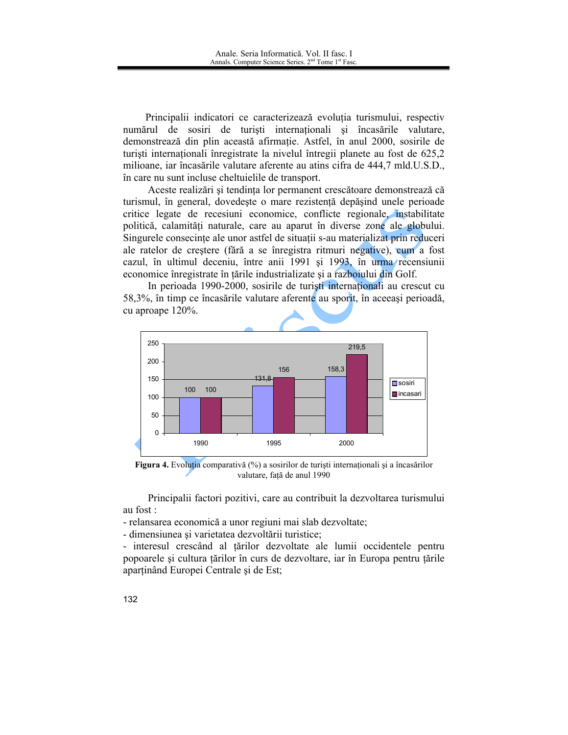Principalii indicatori ce caracterizează evoluția turismului, respectiv numărul de sosiri de turiști internaționali și încasările valutare, demonstrează din plin această afirmație. Astfel, în anul 2000, sosirile de turiști internaționali înregistrate la nivelul întregii planete au fost de 625,2 milioane, iar încasările valutare aferente au atins cifra de 444,7 mld.U.S.D., în care nu sunt incluse cheltuielile de transport.

Aceste realizări și tendinta lor permanent crescătoare demonstrează că turismul, în general, dovedește o mare rezistență depășind unele perioade critice legate de recesiuni economice, conflicte regionale, instabilitate politică, calamităti naturale, care au aparut în diverse zone ale globului. Singurele consecinte ale unor astfel de situații s-au materializat prin reduceri ale ratelor de crestere (fără a se înregistra ritmuri negative), cum a fost cazul, în ultimul deceniu, între anii 1991 și 1993, în urma recensiunii economice înregistrate în țările industrializate și a razboiului din Golf.

In perioada 1990-2000, sosirile de turisti internationali au crescut cu 58,3%, în timp ce încasările valutare aferente au sporit, în aceeași perioadă, cu aproape 120%.



Figura 4. Evoluția comparativă (%) a sosirilor de turiști internaționali și a încasărilor valutare, față de anul 1990

Principalii factori pozitivi, care au contribuit la dezvoltarea turismului au fost:

- relansarea economică a unor regiuni mai slab dezvoltate;

- dimensiunea si varietatea dezvoltării turistice;

- interesul crescând al țărilor dezvoltate ale lumii occidentele pentru popoarele și cultura țărilor în curs de dezvoltare, iar în Europa pentru țările apartinând Europei Centrale și de Est;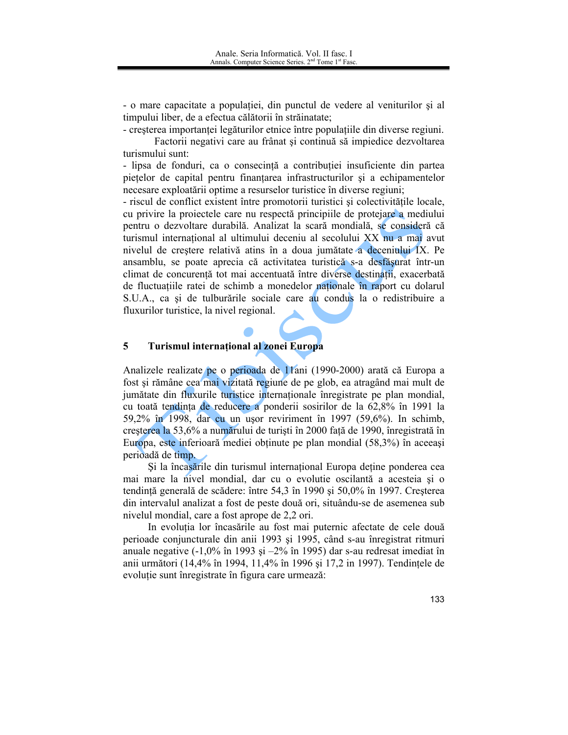- o mare capacitate a populației, din punctul de vedere al veniturilor și al timpului liber, de a efectua călătorii în străinatate;

- creșterea importanței legăturilor etnice între populațiile din diverse regiuni.

Factorii negativi care au frânat și continuă să impiedice dezvoltarea turismului sunt:

- lipsa de fonduri, ca o consecintă a contribuției insuficiente din partea pietelor de capital pentru finantarea infrastructurilor și a echipamentelor necesare exploatării optime a resurselor turistice în diverse regiuni;

- riscul de conflict existent între promotorii turistici și colectivitățile locale, cu privire la proiectele care nu respectă principiile de protejare a mediului pentru o dezvoltare durabilă. Analizat la scară mondială, se consideră că turismul international al ultimului deceniu al secolului XX nu a mai avut nivelul de crestere relativă atins în a doua jumătate a deceniului IX. Pe ansamblu, se poate aprecia că activitatea turistică s-a desfăsurat într-un climat de concurență tot mai accentuată între diverse destinații, exacerbată de fluctuațiile ratei de schimb a monedelor naționale în raport cu dolarul S.U.A., ca și de tulburările sociale care au condus la o redistribuire a fluxurilor turistice, la nivel regional.

#### $\overline{5}$ Turismul internațional al zonei Europa

Analizele realizate pe o perioada de 11ani (1990-2000) arată că Europa a fost și rămâne cea mai vizitată regiune de pe glob, ea atragând mai mult de jumătate din fluxurile turistice internaționale înregistrate pe plan mondial, cu toată tendința de reducere a ponderii sosirilor de la 62,8% în 1991 la 59,2% în 1998, dar cu un ușor reviriment în 1997 (59,6%). In schimb, creșterea la 53,6% a numărului de turiști în 2000 față de 1990, înregistrată în Europa, este inferioară mediei obținute pe plan mondial (58,3%) în aceeași perioadă de timp.

Si la încasările din turismul internațional Europa deține ponderea cea mai mare la nivel mondial, dar cu o evolutie oscilantă a acesteia și o tendință generală de scădere: între 54,3 în 1990 și 50,0% în 1997. Creșterea din intervalul analizat a fost de peste două ori, situându-se de asemenea sub nivelul mondial, care a fost aprope de 2,2 ori.

In evoluția lor încasările au fost mai puternic afectate de cele două perioade conjuncturale din anii 1993 și 1995, când s-au înregistrat ritmuri anuale negative  $(-1.0\%$  în 1993 și  $-2\%$  în 1995) dar s-au redresat imediat în anii următori (14,4% în 1994, 11,4% în 1996 și 17,2 in 1997). Tendințele de evolutie sunt înregistrate în figura care urmează: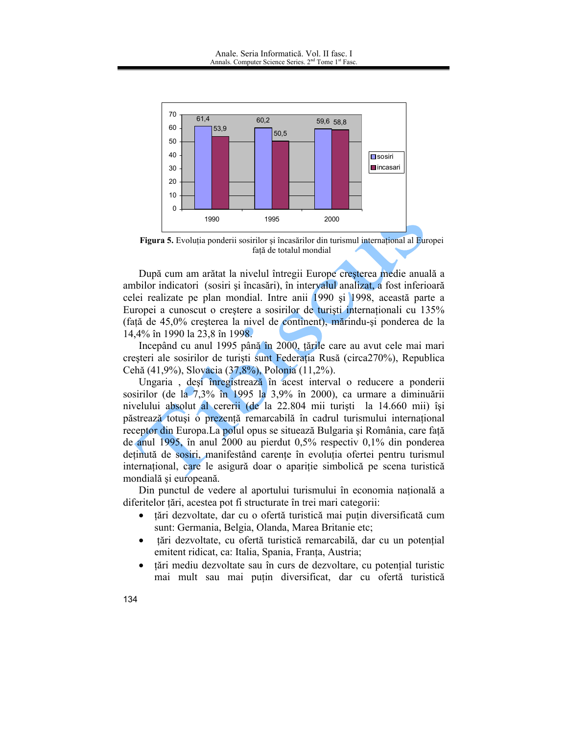

Figura 5. Evoluția ponderii sosirilor și încasărilor din turismul internațional al Europei față de totalul mondial

După cum am arătat la nivelul întregii Europe creșterea medie anuală a ambilor indicatori (sosiri și încasări), în intervalul analizat, a fost inferioară celei realizate pe plan mondial. Intre anii 1990 și 1998, această parte a Europei a cunoscut o creștere a sosirilor de turiști internaționali cu 135% (față de 45,0% creșterea la nivel de continent), mărindu-și ponderea de la 14,4% în 1990 la 23,8 în 1998.

Incepând cu anul 1995 până în 2000, țările care au avut cele mai mari creșteri ale sosirilor de turiști sunt Federația Rusă (circa270%), Republica Cehă (41,9%), Slovacia (37,8%), Polonia (11,2%).

Ungaria, deși înregistrează în acest interval o reducere a ponderii sosirilor (de la 7,3% în 1995 la 3,9% în 2000), ca urmare a diminuării nivelului absolut al cererii (de la 22.804 mii turisti la 14.660 mii) îsi păstrează totuși o prezență remarcabilă în cadrul turismului internațional receptor din Europa. La polul opus se situează Bulgaria și România, care față de anul 1995, în anul  $2000$  au pierdut  $0.5\%$  respectiv  $0.1\%$  din ponderea deținută de sosiri, manifestând carențe în evoluția ofertei pentru turismul internațional, care le asigură doar o apariție simbolică pe scena turistică mondială și europeană.

Din punctul de vedere al aportului turismului în economia națională a diferitelor țări, acestea pot fi structurate în trei mari categorii:

- $\bullet$ țări dezvoltate, dar cu o ofertă turistică mai puțin diversificată cum sunt: Germania, Belgia, Olanda, Marea Britanie etc;
- tări dezvoltate, cu ofertă turistică remarcabilă, dar cu un potențial  $\bullet$ emitent ridicat, ca: Italia, Spania, Franta, Austria;
- tări mediu dezvoltate sau în curs de dezvoltare, cu potențial turistic  $\bullet$ mai mult sau mai puțin diversificat, dar cu ofertă turistică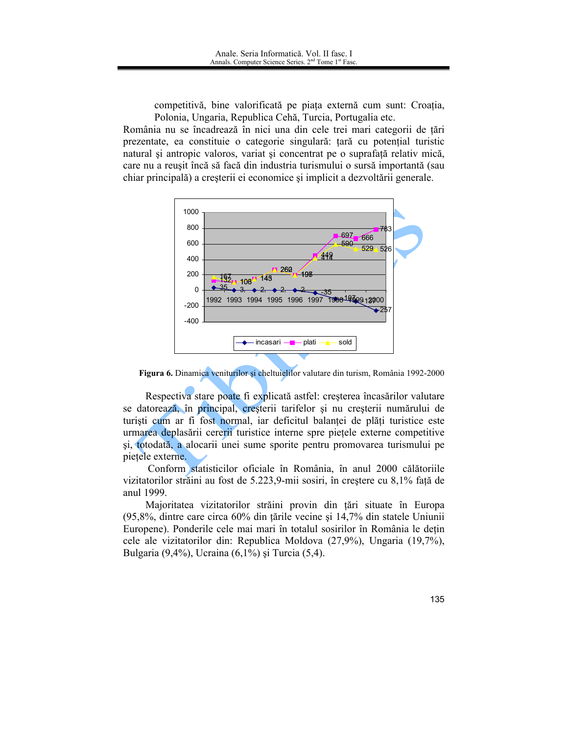competitivă, bine valorificată pe piața externă cum sunt: Croația, Polonia, Ungaria, Republica Cehă, Turcia, Portugalia etc.

România nu se încadrează în nici una din cele trei mari categorii de țări prezentate, ea constituie o categorie singulară: țară cu potențial turistic natural și antropic valoros, variat și concentrat pe o suprafață relativ mică, care nu a reusit încă să facă din industria turismului o sursă importantă (sau chiar principală) a creșterii ei economice și implicit a dezvoltării generale.



Figura 6. Dinamica veniturilor și cheltuielilor valutare din turism, România 1992-2000

Respectiva stare poate fi explicată astfel: cresterea încasărilor valutare se datorează, în principal, creșterii tarifelor și nu creșterii numărului de turisti cum ar fi fost normal, iar deficitul balantei de plăți turistice este urmarea deplasării cererii turistice interne spre piețele externe competitive și, totodată, a alocarii unei sume sporite pentru promovarea turismului pe pietele externe.

Conform statisticilor oficiale în România, în anul 2000 călătoriile vizitatorilor străini au fost de 5.223,9-mii sosiri, în creștere cu 8,1% față de anul 1999.

Majoritatea vizitatorilor străini provin din țări situate în Europa (95,8%, dintre care circa 60% din tările vecine și 14,7% din statele Uniunii Europene). Ponderile cele mai mari în totalul sosirilor în România le dețin cele ale vizitatorilor din: Republica Moldova (27,9%), Ungaria (19,7%), Bulgaria (9,4%), Ucraina (6,1%) și Turcia (5,4).